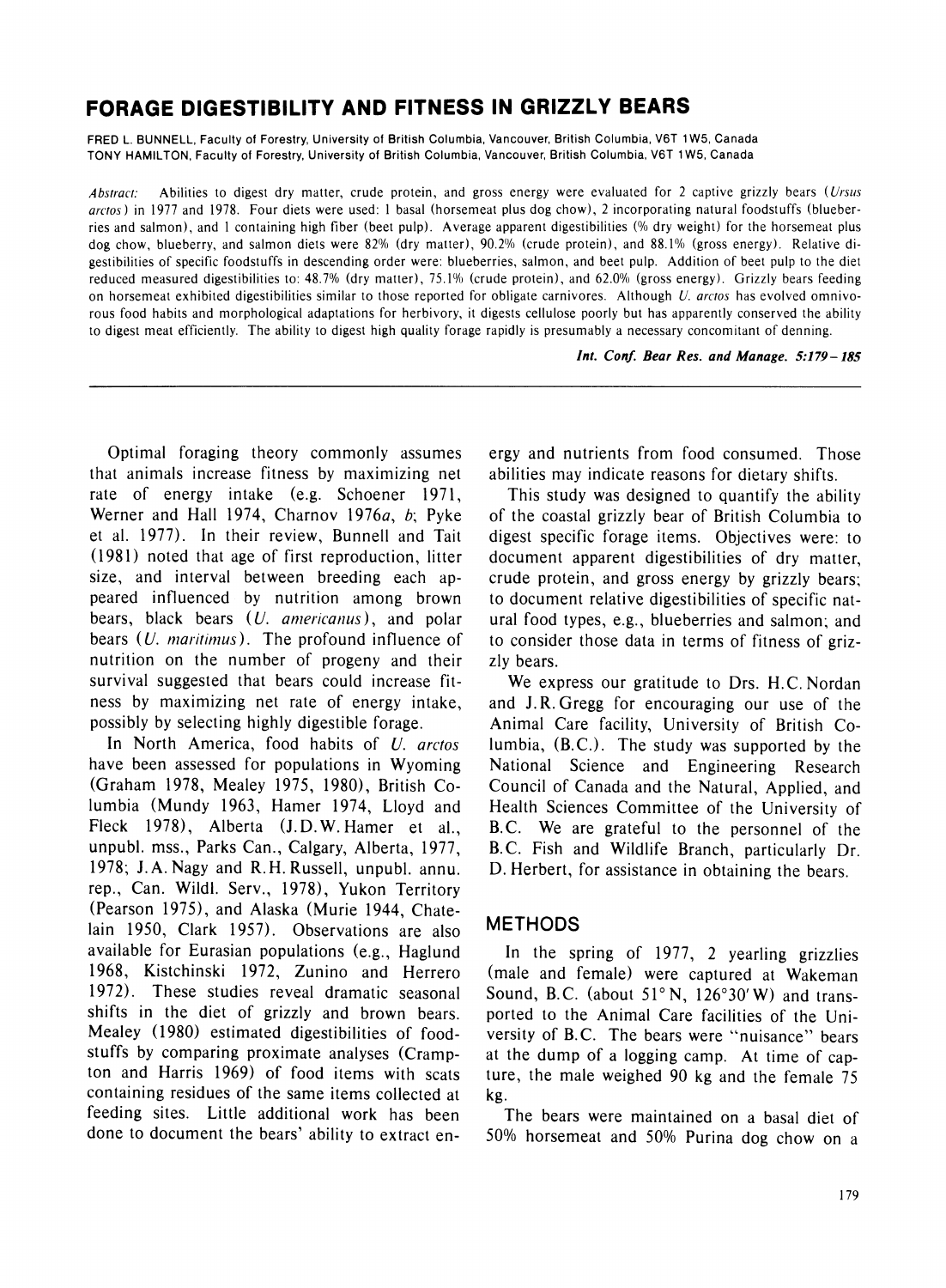# **FORAGE DIGESTIBILITY AND FITNESS IN GRIZZLY BEARS**

**FRED L. BUNNELL, Faculty of Forestry, University of British Columbia, Vancouver, British Columbia, V6T 1W5, Canada TONY HAMILTON, Faculty of Forestry, University of British Columbia, Vancouver, British Columbia, V6T 1 W5, Canada** 

Abstract: Abilities to digest dry matter, crude protein, and gross energy were evaluated for 2 captive grizzly bears (*Ursus* **arctos) in 1977 and 1978. Four diets were used: 1 basal (horsemeat plus dog chow), 2 incorporating natural foodstuffs (blueberries and salmon), and 1 containing high fiber (beet pulp). Average apparent digestibilities (% dry weight) for the horsemeat plus**  dog chow, blueberry, and salmon diets were 82% (dry matter), 90.2% (crude protein), and 88.1% (gross energy). Relative di**gestibilities of specific foodstuffs in descending order were: blueberries, salmon, and beet pulp. Addition of beet pulp to the diet reduced measured digestibilities to: 48.7% (dry matter), 75.1% (crude protein), and 62.0% (gross energy). Grizzly bears feeding on horsemeat exhibited digestibilities similar to those reported for obligate carnivores. Although U. arctos has evolved omnivorous food habits and morphological adaptations for herbivory, it digests cellulose poorly but has apparently conserved the ability to digest meat efficiently. The ability to digest high quality forage rapidly is presumably a necessary concomitant of denning.** 

**Int. Conf. Bear Res. and Manage. 5:179-185** 

**Optimal foraging theory commonly assumes that animals increase fitness by maximizing net rate of energy intake (e.g. Schoener 1971, Werner and Hall 1974, Charnov 1976a, b; Pyke et al. 1977). In their review, Bunnell and Tait (1981) noted that age of first reproduction, litter size, and interval between breeding each appeared influenced by nutrition among brown bears, black bears (U. anericanus), and polar bears (U. maritimus). The profound influence of nutrition on the number of progeny and their survival suggested that bears could increase fitness by maximizing net rate of energy intake, possibly by selecting highly digestible forage.** 

**In North America, food habits of U. arctos have been assessed for populations in Wyoming (Graham 1978, Mealey 1975, 1980), British Columbia (Mundy 1963, Hamer 1974, Lloyd and Fleck 1978), Alberta (J.D.W. Hamer et al., unpubl. mss., Parks Can., Calgary, Alberta, 1977, 1978; J.A.Nagy and R.H.Russell, unpubl. annu. rep., Can. Wildl. Serv., 1978), Yukon Territory (Pearson 1975), and Alaska (Murie 1944, Chatelain 1950, Clark 1957). Observations are also available for Eurasian populations (e.g., Haglund 1968, Kistchinski 1972, Zunino and Herrero 1972). These studies reveal dramatic seasonal shifts in the diet of grizzly and brown bears. Mealey (1980) estimated digestibilities of foodstuffs by comparing proximate analyses (Crampton and Harris 1969) of food items with scats containing residues of the same items collected at feeding sites. Little additional work has been done to document the bears' ability to extract en-** **ergy and nutrients from food consumed. Those abilities may indicate reasons for dietary shifts.** 

**This study was designed to quantify the ability of the coastal grizzly bear of British Columbia to digest specific forage items. Objectives were: to document apparent digestibilities of dry matter, crude protein, and gross energy by grizzly bears; to document relative digestibilities of specific natural food types, e.g., blueberries and salmon; and to consider those data in terms of fitness of grizzly bears.** 

**We express our gratitude to Drs. H.C. Nordan and J.R.Gregg for encouraging our use of the Animal Care facility, University of British Columbia, (B.C.). The study was supported by the National Science and Engineering Research Council of Canada and the Natural, Applied, and Health Sciences Committee of the University of B.C. We are grateful to the personnel of the B.C. Fish and Wildlife Branch, particularly Dr. D. Herbert, for assistance in obtaining the bears.** 

## **METHODS**

**In the spring of 1977, 2 yearling grizzlies (male and female) were captured at Wakeman Sound, B.C. (about 51?N, 126?30'W) and transported to the Animal Care facilities of the University of B.C. The bears were "nuisance" bears at the dump of a logging camp. At time of capture, the male weighed 90 kg and the female 75 kg.** 

**The bears were maintained on a basal diet of 50% horsemeat and 50% Purina dog chow on a**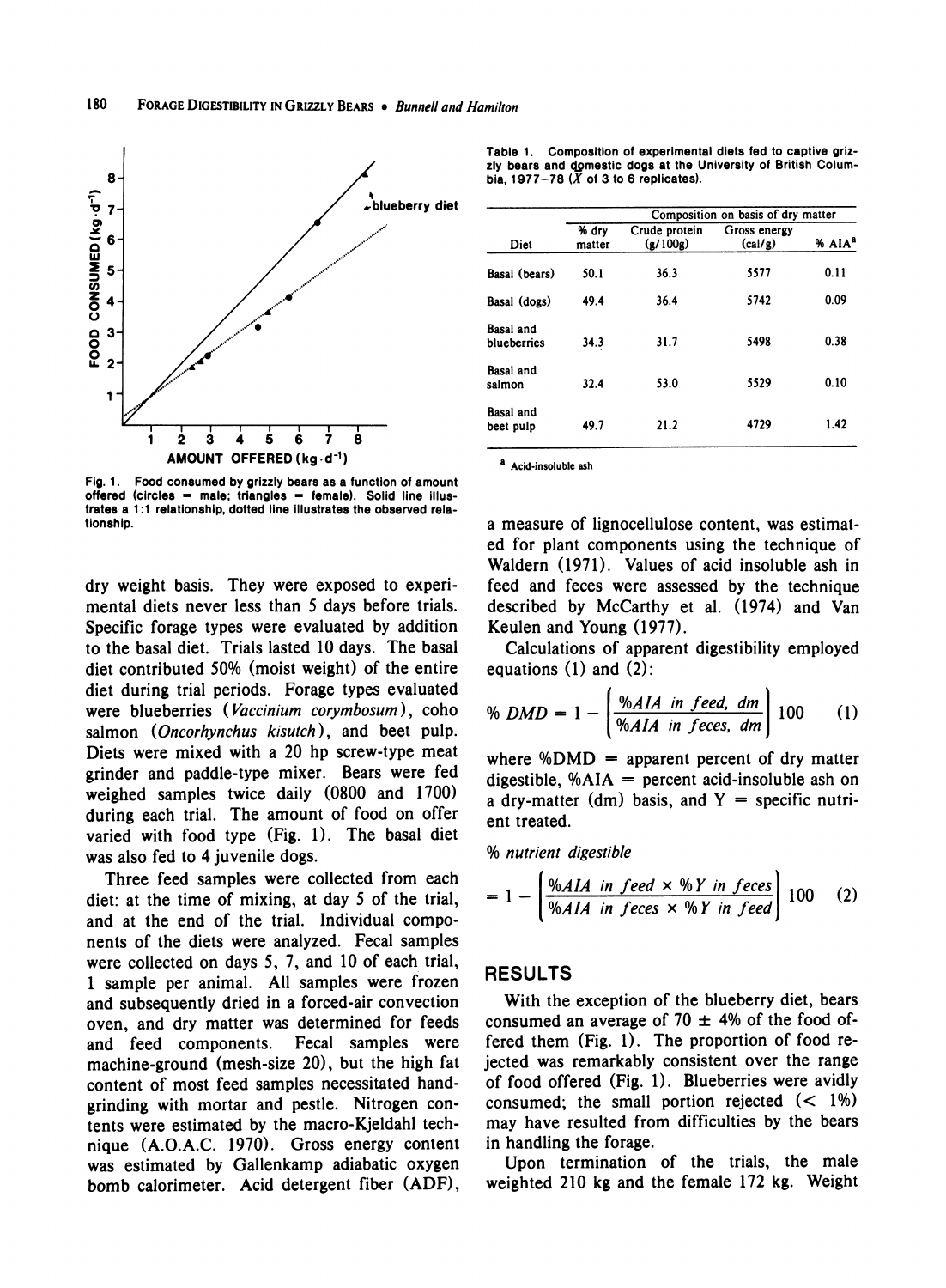

**Fig. 1. Food consumed by grizzly bears as a function of amount**  offered (circles = male; triangles = female). Solid line illus**trates a 1:1 relationship, dotted line illustrates the observed relationship.** 

**dry weight basis. They were exposed to experimental diets never less than 5 days before trials. Specific forage types were evaluated by addition to the basal diet. Trials lasted 10 days. The basal diet contributed 50% (moist weight) of the entire diet during trial periods. Forage types evaluated were blueberries (Vaccinium corymbosum), coho salmon (Oncorhynchus kisutch), and beet pulp. Diets were mixed with a 20 hp screw-type meat grinder and paddle-type mixer. Bears were fed weighed samples twice daily (0800 and 1700) during each trial. The amount of food on offer varied with food type (Fig. 1). The basal diet was also fed to 4 juvenile dogs.** 

**Three feed samples were collected from each diet: at the time of mixing, at day 5 of the trial, and at the end of the trial. Individual components of the diets were analyzed. Fecal samples were collected on days 5, 7, and 10 of each trial, 1 sample per animal. All samples were frozen and subsequently dried in a forced-air convection oven, and dry matter was determined for feeds and feed components. Fecal samples were machine-ground (mesh-size 20), but the high fat content of most feed samples necessitated handgrinding with mortar and pestle. Nitrogen contents were estimated by the macro-Kjeldahl technique (A.O.A.C. 1970). Gross energy content was estimated by Gallenkamp adiabatic oxygen bomb calorimeter. Acid detergent fiber (ADF),** 

**Table 1. Composition of experimental diets fed to captive griz**zly bears and domestic dogs at the University of British Columbia, 1977-78  $(X$  of 3 to 6 replicates).

|                          |                 |                           | Composition on basis of dry matter |                    |  |  |  |
|--------------------------|-----------------|---------------------------|------------------------------------|--------------------|--|--|--|
| Diet                     | % dry<br>matter | Crude protein<br>(g/100g) | Gross energy<br>(cal/g)            | % AIA <sup>a</sup> |  |  |  |
| Basal (bears)            | 50.1            | 36.3                      | 5577                               | 0.11               |  |  |  |
| Basal (dogs)             | 49.4            | 36.4                      | 5742                               | 0.09               |  |  |  |
| Basal and<br>blueberries | 34.3            | 31.7                      | 5498                               | 0.38               |  |  |  |
| Basal and<br>salmon      | 32.4            | 53.0                      | 5529                               | 0.10               |  |  |  |
| Basal and<br>beet pulp   | 49.7            | 21.2                      | 4729                               | 1.42               |  |  |  |

**a Acid-insoluble ash** 

**a measure of lignocellulose content, was estimated for plant components using the technique of Waldern (1971). Values of acid insoluble ash in feed and feces were assessed by the technique described by McCarthy et al. (1974) and Van Keulen and Young (1977).** 

**Calculations of apparent digestibility employed equations (1) and (2):** 

$$
\% DMD = 1 - \left[ \frac{\% AIA \text{ in feed, dm}}{\% AIA \text{ in feces, dm}} \right] 100 \qquad (1)
$$

**where %DMD = apparent percent of dry matter digestible, %AIA = percent acid-insoluble ash on a dry-matter (dm) basis, and Y = specific nutrient treated.** 

**% nutrient digestible** 

$$
= 1 - \left[\frac{\%AIA \text{ in feed} \times \%Y \text{ in feces}}{\%AIA \text{ in feces} \times \%Y \text{ in feed}}\right]100 \quad (2)
$$

#### **RESULTS**

**With the exception of the blueberry diet, bears**  consumed an average of  $70 \pm 4\%$  of the food of**fered them (Fig. 1). The proportion of food rejected was remarkably consistent over the range of food offered (Fig. 1). Blueberries were avidly consumed; the small portion rejected (< 1%) may have resulted from difficulties by the bears in handling the forage.** 

**Upon termination of the trials, the male weighted 210 kg and the female 172 kg. Weight**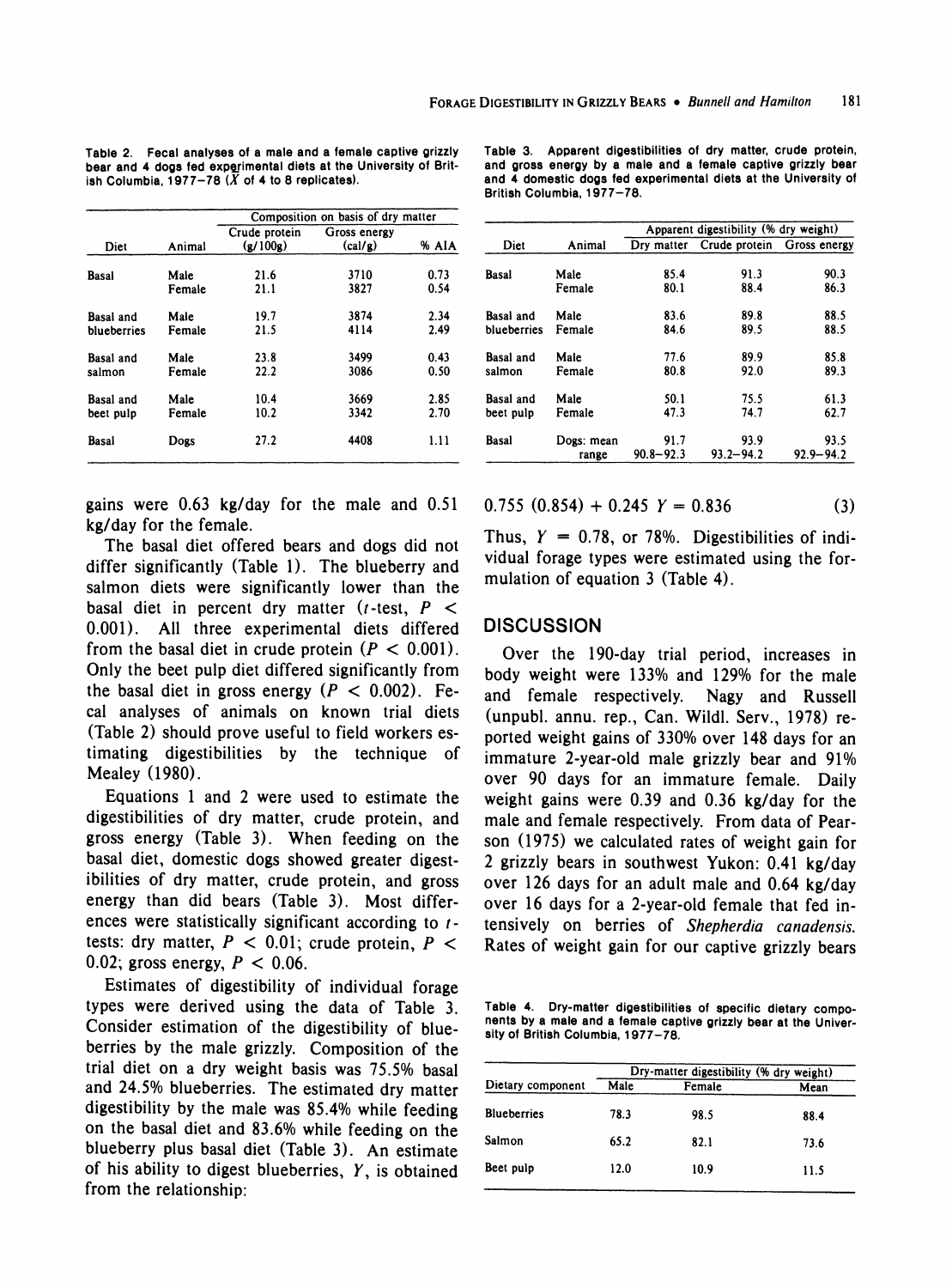|             |        | Composition on basis of dry matter |                         |       |  |  |
|-------------|--------|------------------------------------|-------------------------|-------|--|--|
| Diet        | Animal | Crude protein<br>(g/100g)          | Gross energy<br>(cal/g) | % AIA |  |  |
|             |        |                                    |                         |       |  |  |
| Basal       | Male   | 21.6                               | 3710                    | 0.73  |  |  |
|             | Female | 21.1                               | 3827                    | 0.54  |  |  |
| Basal and   | Male   | 19.7                               | 3874                    | 2.34  |  |  |
| blueberries | Female | 21.5                               | 4114                    | 2.49  |  |  |
| Basal and   | Male   | 23.8                               | 3499                    | 0.43  |  |  |
| salmon      | Female | 22.2                               | 3086                    | 0.50  |  |  |
| Basal and   | Male   | 10.4                               | 3669                    | 2.85  |  |  |
| beet pulp   | Female | 10.2                               | 3342                    | 2.70  |  |  |
| Basal       | Dogs   | 27.2                               | 4408                    | 1.11  |  |  |

**Table 2. Fecal analyses of a male and a female captive grizzly bear and 4 dogs fed experimental diets at the University of Brit**ish Columbia,  $1977-78$   $(X$  of 4 to 8 replicates).

**gains were 0.63 kg/day for the male and 0.51 kg/day for the female.** 

**The basal diet offered bears and dogs did not differ significantly (Table 1). The blueberry and salmon diets were significantly lower than the basal diet in percent dry matter (t-test, P < 0.001). All three experimental diets differed**  from the basal diet in crude protein  $(P < 0.001)$ . **Only the beet pulp diet differed significantly from**  the basal diet in gross energy  $(P < 0.002)$ . Fe**cal analyses of animals on known trial diets (Table 2) should prove useful to field workers estimating digestibilities by the technique of Mealey (1980).** 

**Equations 1 and 2 were used to estimate the digestibilities of dry matter, crude protein, and gross energy (Table 3). When feeding on the basal diet, domestic dogs showed greater digestibilities of dry matter, crude protein, and gross energy than did bears (Table 3). Most differences were statistically significant according to ttests: dry matter, P < 0.01; crude protein, P < 0.02; gross energy, P < 0.06.** 

**Estimates of digestibility of individual forage types were derived using the data of Table 3. Consider estimation of the digestibility of blueberries by the male grizzly. Composition of the trial diet on a dry weight basis was 75.5% basal and 24.5% blueberries. The estimated dry matter digestibility by the male was 85.4% while feeding on the basal diet and 83.6% while feeding on the blueberry plus basal diet (Table 3). An estimate of his ability to digest blueberries, Y, is obtained from the relationship:** 

|             |            |               | Apparent digestibility (% dry weight) |               |  |  |  |
|-------------|------------|---------------|---------------------------------------|---------------|--|--|--|
| Diet        | Animal     | Dry matter    | Crude protein                         | Gross energy  |  |  |  |
| Basal       | Male       | 85.4          | 91.3                                  | 90.3          |  |  |  |
|             | Female     | 80.1          | 88.4                                  | 86.3          |  |  |  |
| Basal and   | Male       | 83.6          | 89.8                                  | 88.5          |  |  |  |
| blueberries | Female     | 84.6          | 89.5                                  | 88.5          |  |  |  |
| Basal and   | Male       | 77.6          | 89.9                                  | 85.8          |  |  |  |
| salmon      | Female     | 80.8          | 92.0                                  | 89.3          |  |  |  |
| Basal and   | Male       | 50.1          | 75.5                                  | 61.3          |  |  |  |
| beet pulp   | Female     | 47.3          | 74.7                                  | 62.7          |  |  |  |
| Basal       | Dogs: mean | 91.7          | 93.9                                  | 93.5          |  |  |  |
|             | range      | $90.8 - 92.3$ | $93.2 - 94.2$                         | $92.9 - 94.2$ |  |  |  |

**Table 3. Apparent digestibilities of dry matter, crude protein, and gross energy by a male and a female captive grizzly bear and 4 domestic dogs fed experimental diets at the University of British Columbia, 1977-78.** 

 $0.755 (0.854) + 0.245 Y = 0.836$  (3)

Thus,  $Y = 0.78$ , or 78%. Digestibilities of indi**vidual forage types were estimated using the formulation of equation 3 (Table 4).** 

#### **DISCUSSION**

**Over the 190-day trial period, increases in body weight were 133% and 129% for the male and female respectively. Nagy and Russell (unpubl. annu. rep., Can. Wildl. Serv., 1978) reported weight gains of 330% over 148 days for an immature 2-year-old male grizzly bear and 91% over 90 days for an immature female. Daily weight gains were 0.39 and 0.36 kg/day for the male and female respectively. From data of Pearson (1975) we calculated rates of weight gain for 2 grizzly bears in southwest Yukon: 0.41 kg/day over 126 days for an adult male and 0.64 kg/day over 16 days for a 2-year-old female that fed intensively on berries of Shepherdia canadensis. Rates of weight gain for our captive grizzly bears** 

**Table 4. Dry-matter digestibilities of specific dietary components by a male and a female captive grizzly bear at the University of British Columbia, 1977-78.** 

| Male | Female | Mean                                    |
|------|--------|-----------------------------------------|
| 78.3 | 98.5   | 88.4                                    |
| 65.2 | 82.1   | 73.6                                    |
| 12.0 | 10.9   | 11.5                                    |
|      |        | Dry-matter digestibility (% dry weight) |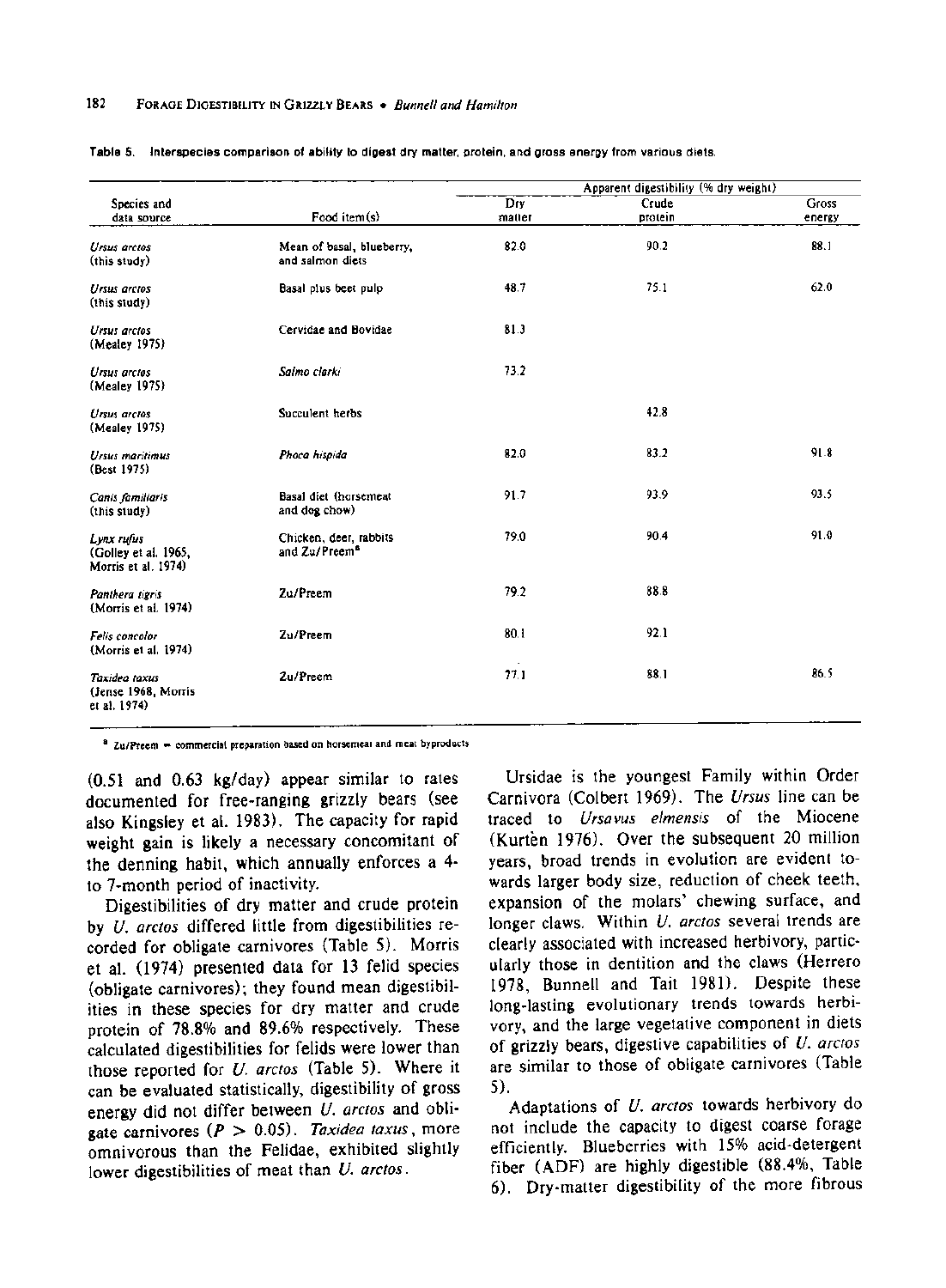#### 182 FORAGE DIGESTIBILITY IN GRIZZLY BEARS . Bunnell and Hamilton

|                                                           |                                                     |               | Apparent digestibility (% dry weight) |                 |  |  |  |
|-----------------------------------------------------------|-----------------------------------------------------|---------------|---------------------------------------|-----------------|--|--|--|
| Species and<br>data source                                | Food item(s)                                        | Dry<br>matter | Crude<br>protein                      | Gross<br>energy |  |  |  |
| Ursus arctos<br>(this study)                              | Mean of basal, blueberry,<br>and salmon diets       | 82.0          | 90.2                                  | 88.1            |  |  |  |
| Ursus arctos<br>(this study)                              | Basal plus beet pulp                                | 48.7          | 75.1                                  | 62.0            |  |  |  |
| <b>Ursus arctos</b><br>(Mealey 1975)                      | Cervidae and Bovidae                                | 81.3          |                                       |                 |  |  |  |
| Ursus arctos<br>(Mealey 1975)                             | Salmo clarki                                        | 73.2          |                                       |                 |  |  |  |
| Ursus arctos<br>(Mealey 1975)                             | Succulent herbs                                     |               | 42.8                                  |                 |  |  |  |
| <b>Ursus maritimus</b><br>(Best 1975)                     | Phoca hispida                                       | 82.0          | 83.2                                  | 91.8            |  |  |  |
| Canis familiaris<br>(this study)                          | Basal diet (horsemeat<br>and dog chow)              | 91.7          | 93.9                                  | 93.5            |  |  |  |
| Lynx rufus<br>(Golley et al. 1965,<br>Morris et al. 1974) | Chicken, deer, rabbits<br>and Zu/Preem <sup>8</sup> | 79.0          | 90.4                                  | 91.0            |  |  |  |
| Panthera tigris<br>(Morris et al. 1974)                   | Zu/Preem                                            | 79.2          | 88.8                                  |                 |  |  |  |
| <b>Felis</b> concolor<br>(Morris et al. 1974)             | Zu/Preem                                            | 80.1          | 92.1                                  |                 |  |  |  |
| Taxidea taxus<br>(Jense 1968, Morris<br>et al. 1974)      | Zu/Preem                                            | 77.1          | 88.1                                  | 86.5            |  |  |  |

| Table 5. Interspecies comparison of ability to digest dry matter, protein, and gross energy from various diets. |
|-----------------------------------------------------------------------------------------------------------------|
|-----------------------------------------------------------------------------------------------------------------|

**a** Zu/Preem - commercial preparation based on horsemeat and meat byproducts

**(0.51 and 0.63 kg/day) appear similar to rates documented for free-ranging grizzly bears (see also Kingsley et al. 1983). The capacity for rapid weight gain is likely a necessary concomitant of the denning habit, which annually enforces a 4 to 7-month period of inactivity.** 

**Digestibilities of dry matter and crude protein by U. arctos differed little from digestibilities recorded for obligate carnivores (Table 5). Morris et al. (1974) presented data for 13 felid species (obligate carnivores); they found mean digestibilities in these species for dry matter and crude protein of 78.8% and 89.6% respectively. These calculated digestibilities for felids were lower than those reported for U. arctos (Table 5). Where it can be evaluated statistically, digestibility of gross energy did not differ between U. arctos and obligate carnivores (P > 0.05). Taxidea taxus, more omnivorous than the Felidae, exhibited slightly lower digestibilities of meat than U. arctos.** 

**Ursidae is the youngest Family within Order Carnivora (Colbert 1969). The Ursus line can be traced to Ursavus elmensis of the Miocene (Kurten 1976). Over the subsequent 20 million years, broad trends in evolution are evident towards larger body size, reduction of cheek teeth, expansion of the molars' chewing surface, and longer claws. Within U. arctos several trends are clearly associated with increased herbivory, particularly those in dentition and the claws (Herrero 1978, Bunnell and Tait 1981). Despite these long-lasting evolutionary trends towards herbivory, and the large vegetative component in diets of grizzly bears, digestive capabilities of U. arctos are similar to those of obligate carnivores (Table 5).** 

**Adaptations of U. arctos towards herbivory do not include the capacity to digest coarse forage efficiently. Blueberries with 15% acid-detergent fiber (ADF) are highly digestible (88.4%, Table 6). Dry-matter digestibility of the more fibrous**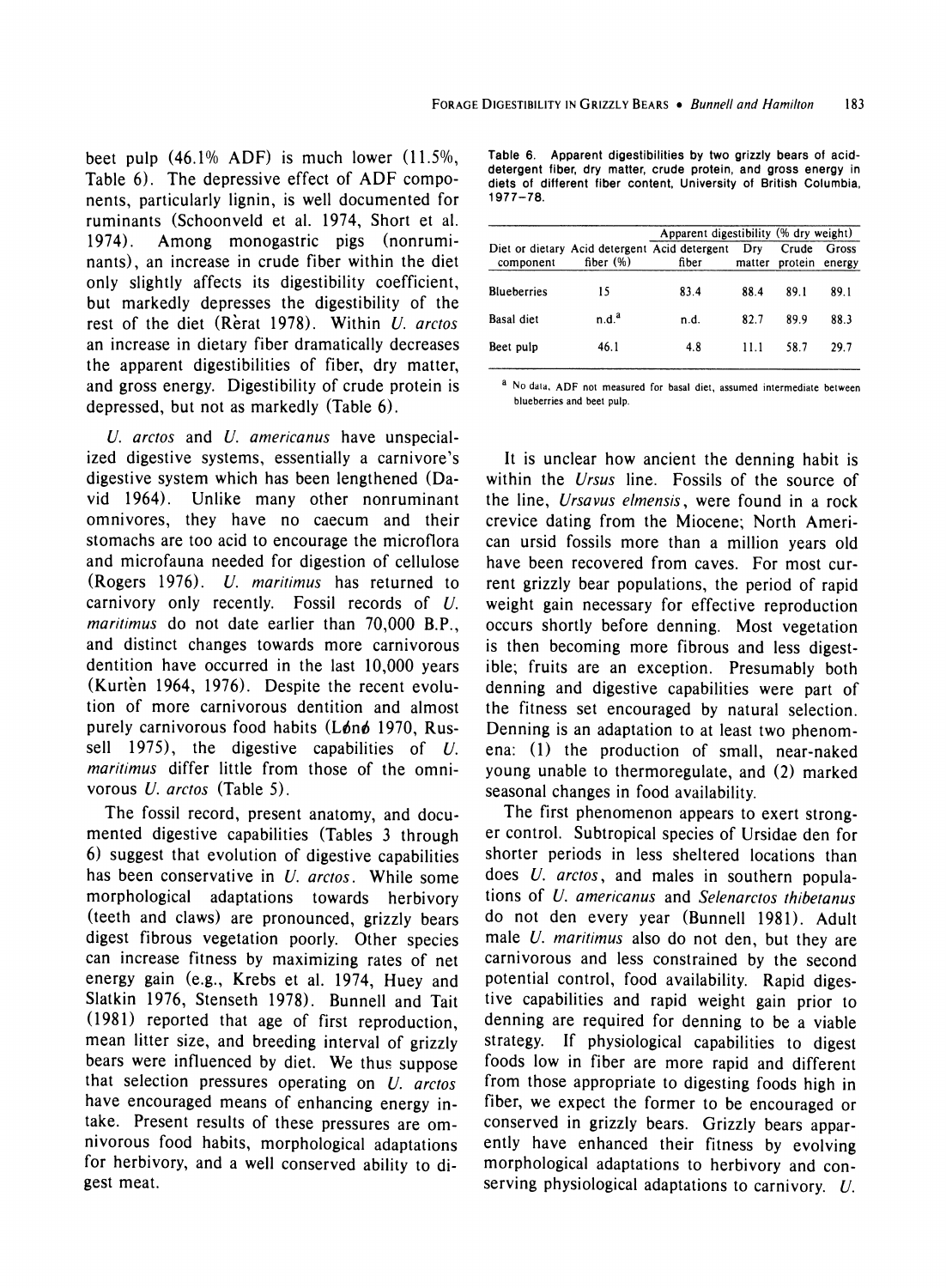**beet pulp (46.1% ADF) is much lower (11.5%, Table 6). The depressive effect of ADF components, particularly lignin, is well documented for ruminants (Schoonveld et al. 1974, Short et al. 1974). Among monogastric pigs (nonruminants), an increase in crude fiber within the diet only slightly affects its digestibility coefficient, but markedly depresses the digestibility of the rest of the diet (Rerat 1978). Within U. arctos an increase in dietary fiber dramatically decreases the apparent digestibilities of fiber, dry matter, and gross energy. Digestibility of crude protein is depressed, but not as markedly (Table 6).** 

**U. arctos and U. americanus have unspecialized digestive systems, essentially a carnivore's digestive system which has been lengthened (David 1964). Unlike many other nonruminant omnivores, they have no caecum and their stomachs are too acid to encourage the microflora and microfauna needed for digestion of cellulose (Rogers 1976). U. maritimus has returned to carnivory only recently. Fossil records of U. maritimus do not date earlier than 70,000 B.P., and distinct changes towards more carnivorous dentition have occurred in the last 10,000 years (Kurten 1964, 1976). Despite the recent evolution of more carnivorous dentition and almost**  purely carnivorous food habits (Lønø 1970, Rus**sell 1975), the digestive capabilities of U. maritimus differ little from those of the omnivorous U. arctos (Table 5).** 

**The fossil record, present anatomy, and documented digestive capabilities (Tables 3 through 6) suggest that evolution of digestive capabilities has been conservative in U. arctos. While some morphological adaptations towards herbivory (teeth and claws) are pronounced, grizzly bears digest fibrous vegetation poorly. Other species can increase fitness by maximizing rates of net energy gain (e.g., Krebs et al. 1974, Huey and Slatkin 1976, Stenseth 1978). Bunnell and Tait (1981) reported that age of first reproduction, mean litter size, and breeding interval of grizzly bears were influenced by diet. We thus suppose that selection pressures operating on U. arctos have encouraged means of enhancing energy intake. Present results of these pressures are omnivorous food habits, morphological adaptations for herbivory, and a well conserved ability to digest meat.** 

|             |  | Table 6. Apparent digestibilities by two grizzly bears of acid-   |  |
|-------------|--|-------------------------------------------------------------------|--|
|             |  | detergent fiber, dry matter, crude protein, and gross energy in   |  |
|             |  | diets of different fiber content. University of British Columbia. |  |
| $1977 - 78$ |  |                                                                   |  |

| fiber $(\%)$      | Diet or dietary Acid detergent Acid detergent | Drv    | Crude   |                 |
|-------------------|-----------------------------------------------|--------|---------|-----------------|
|                   | fiber                                         | matter | protein | Gross<br>energy |
| 15                | 83.4                                          | 88.4   | 89.1    | 89.1            |
| n.d. <sup>a</sup> | n.d.                                          | 82.7   | 89.9    | 88.3            |
| 46.1              | 4.8                                           | 11.1   | 58.7    | 29.7            |
|                   |                                               |        |         |                 |

**a No data, ADF not measured for basal diet, assumed intermediate between blueberries and beet pulp.** 

**It is unclear how ancient the denning habit is within the Ursus line. Fossils of the source of the line, Ursavus elmensis, were found in a rock crevice dating from the Miocene; North American ursid fossils more than a million years old have been recovered from caves. For most current grizzly bear populations, the period of rapid weight gain necessary for effective reproduction occurs shortly before denning. Most vegetation is then becoming more fibrous and less digestible; fruits are an exception. Presumably both denning and digestive capabilities were part of the fitness set encouraged by natural selection. Denning is an adaptation to at least two phenomena: (1) the production of small, near-naked young unable to thermoregulate, and (2) marked seasonal changes in food availability.** 

**The first phenomenon appears to exert stronger control. Subtropical species of Ursidae den for shorter periods in less sheltered locations than does U. arctos, and males in southern populations of U. americanus and Selenarctos thibetanus do not den every year (Bunnell 1981). Adult male U. maritimus also do not den, but they are carnivorous and less constrained by the second potential control, food availability. Rapid digestive capabilities and rapid weight gain prior to denning are required for denning to be a viable strategy. If physiological capabilities to digest foods low in fiber are more rapid and different from those appropriate to digesting foods high in fiber, we expect the former to be encouraged or conserved in grizzly bears. Grizzly bears apparently have enhanced their fitness by evolving morphological adaptations to herbivory and conserving physiological adaptations to carnivory. U.**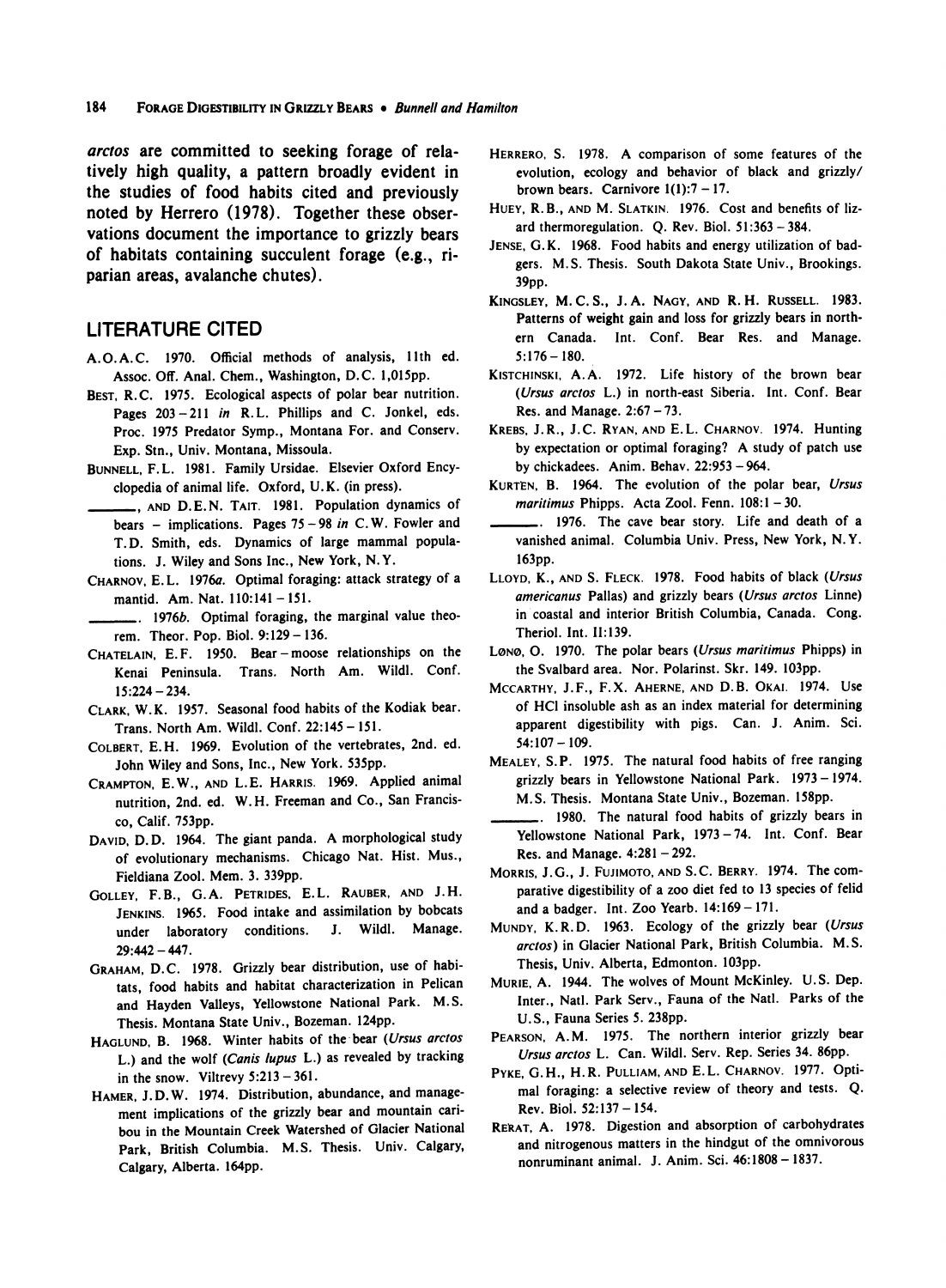**arctos are committed to seeking forage of relatively high quality, a pattern broadly evident in the studies of food habits cited and previously noted by Herrero (1978). Together these observations document the importance to grizzly bears of habitats containing succulent forage (e.g., riparian areas, avalanche chutes).** 

### **LITERATURE CITED**

- **A.O.A.C. 1970. Official methods of analysis, 11th ed. Assoc. Off. Anal. Chem., Washington, D.C. 1,015pp.**
- **BEST, R.C. 1975. Ecological aspects of polar bear nutrition. Pages 203-211 in R.L. Phillips and C. Jonkel, eds. Proc. 1975 Predator Symp., Montana For. and Conserv. Exp. Stn., Univ. Montana, Missoula.**
- **BUNNELL, F.L. 1981. Family Ursidae. Elsevier Oxford Encyclopedia of animal life. Oxford, U.K. (in press).**
- **, AND D.E.N. TAIT. 1981. Population dynamics of bears - implications. Pages 75- 98 in C. W. Fowler and T. D. Smith, eds. Dynamics of large mammal populations. J. Wiley and Sons Inc., New York, N.Y.**
- **CHARNOV, E.L. 1976a. Optimal foraging: attack strategy of a mantid. Am. Nat. 110:141 - 151.**
- **. 1976b. Optimal foraging, the marginal value theorem. Theor. Pop. Biol. 9:129-136.**
- **CHATELAIN, E. F. 1950. Bear-moose relationships on the Kenai Peninsula. Trans. North Am. Wildl. Conf. 15:224 - 234.**
- **CLARK, W.K. 1957. Seasonal food habits of the Kodiak bear. Trans. North Am. Wildl. Conf. 22:145- 151.**
- **COLBERT, E.H. 1969. Evolution of the vertebrates, 2nd. ed. John Wiley and Sons, Inc., New York. 535pp.**
- **CRAMPTON, E.W., AND L.E. HARRIS. 1969. Applied animal nutrition, 2nd. ed. W.H. Freeman and Co., San Francisco, Calif. 753pp.**
- **DAVID, D.D. 1964. The giant panda. A morphological study of evolutionary mechanisms. Chicago Nat. Hist. Mus., Fieldiana Zool. Mem. 3. 339pp.**
- **GOLLEY, F.B., G.A. PETRIDES, E.L. RAUBER, AND J.H. JENKINS. 1965. Food intake and assimilation by bobcats under laboratory conditions. J. Wildl. Manage. 29:442 -447.**
- **GRAHAM, D.C. 1978. Grizzly bear distribution, use of habitats, food habits and habitat characterization in Pelican and Hayden Valleys, Yellowstone National Park. M.S. Thesis. Montana State Univ., Bozeman. 124pp.**
- **HAGLUND, B. 1968. Winter habits of the bear (Ursus arctos L.) and the wolf (Canis lupus L.) as revealed by tracking in the snow. Viltrevy 5:213 - 361.**
- **HAMER, J.D.W. 1974. Distribution, abundance, and management implications of the grizzly bear and mountain caribou in the Mountain Creek Watershed of Glacier National Park, British Columbia. M.S. Thesis. Univ. Calgary, Calgary, Alberta. 164pp.**
- **HERRERO, S. 1978. A comparison of some features of the evolution, ecology and behavior of black and grizzly/**  brown bears. Carnivore  $1(1):7 - 17$ .
- **HUEY, R. B., AND M. SLATKIN. 1976. Cost and benefits of lizard thermoregulation. Q. Rev. Biol. 51:363- 384.**
- **JENSE, G.K. 1968. Food habits and energy utilization of badgers. M.S. Thesis. South Dakota State Univ., Brookings. 39pp.**
- **KINGSLEY, M. C. S., J. A. NAGY, AND R. H. RUSSELL. 1983. Patterns of weight gain and loss for grizzly bears in northern Canada. Int. Conf. Bear Res. and Manage. 5:176- 180.**
- **KISTCHINSKI, A.A. 1972. Life history of the brown bear (Ursus arctos L.) in north-east Siberia. Int. Conf. Bear Res. and Manage. 2:67- 73.**
- **KREBS, J.R., J.C. RYAN, AND E.L. CHARNOV. 1974. Hunting by expectation or optimal foraging? A study of patch use by chickadees. Anim. Behav. 22:953- 964.**
- **KURTEN, B. 1964. The evolution of the polar bear, Ursus maritimus Phipps. Acta Zool. Fenn. 108:1 - 30.**
- **. 1976. The cave bear story. Life and death of a vanished animal. Columbia Univ. Press, New York, N.Y. 163pp.**
- **LLOYD, K., AND S. FLECK. 1978. Food habits of black (Ursus americanus Pallas) and grizzly bears (Ursus arctos Linne) in coastal and interior British Columbia, Canada. Cong. Theriol. Int. 11:139.**
- **L0NO, 0. 1970. The polar bears (Ursus maritimus Phipps) in the Svalbard area. Nor. Polarinst. Skr. 149. 103pp.**
- **MCCARTHY, J.F., F.X. AHERNE, AND D.B. OKAI. 1974. Use of HCI insoluble ash as an index material for determining apparent digestibility with pigs. Can. J. Anim. Sci. 54:107- 109.**
- **MEALEY, S.P. 1975. The natural food habits of free ranging grizzly bears in Yellowstone National Park. 1973 - 1974. M.S. Thesis. Montana State Univ., Bozeman. 158pp.**
- **. 1980. The natural food habits of grizzly bears in Yellowstone National Park, 1973 -74. Int. Conf. Bear Res. and Manage. 4:281 -292.**
- **MORRIS, J.G., J. FUJIMOTO, AND S.C. BERRY. 1974. The comparative digestibility of a zoo diet fed to 13 species of felid and a badger. Int. Zoo Yearb. 14:169- 171.**
- **MUNDY, K. R. D. 1963. Ecology of the grizzly bear (Ursus arctos) in Glacier National Park, British Columbia. M.S. Thesis, Univ. Alberta, Edmonton. 103pp.**
- **MURIE, A. 1944. The wolves of Mount McKinley. U.S. Dep. Inter., Natl. Park Serv., Fauna of the Natl. Parks of the U.S., Fauna Series 5. 238pp.**
- **PEARSON, A.M. 1975. The northern interior grizzly bear Ursus arctos L. Can. Wildl. Serv. Rep. Series 34. 86pp.**
- **PYKE, G.H., H.R. PULLIAM, AND E.L. CHARNOV. 1977. Optimal foraging: a selective review of theory and tests. Q. Rev. Biol. 52:137 - 154.**
- **REkAT, A. 1978. Digestion and absorption of carbohydrates and nitrogenous matters in the hindgut of the omnivorous nonruminant animal. J. Anim. Sci. 46:1808 - 1837.**